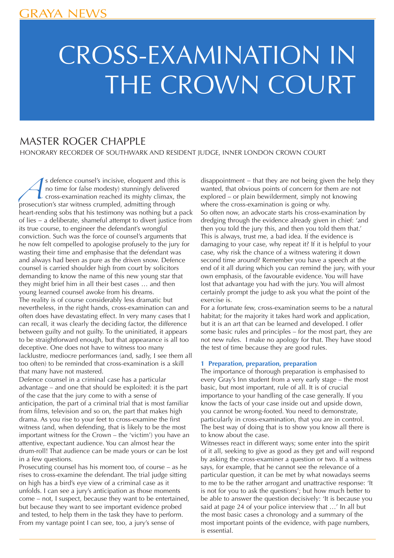# CROSS-EXAMINATION IN THE CROWN COURT

### MASTER ROGER CHAPPLE

HONORARY RECORDER OF SOUTHWARK AND RESIDENT JUDGE, INNER LONDON CROWN COURT

s defence counsel's incisive, eloquent and (this is<br>no time for false modesty) stunningly delivered<br>cross-examination reached its mighty climax, the<br>prosecution's star witness crumpled, admitting through no time for false modesty) stunningly delivered cross-examination reached its mighty climax, the prosecution's star witness crumpled, admitting through heart-rending sobs that his testimony was nothing but a pack of lies − a deliberate, shameful attempt to divert justice from its true course, to engineer the defendant's wrongful conviction. Such was the force of counsel's arguments that he now felt compelled to apologise profusely to the jury for wasting their time and emphasise that the defendant was and always had been as pure as the driven snow. Defence counsel is carried shoulder high from court by solicitors demanding to know the name of this new young star that they might brief him in all their best cases … and then young learned counsel awoke from his dreams. The reality is of course considerably less dramatic but nevertheless, in the right hands, cross-examination can and often does have devastating effect. In very many cases that I can recall, it was clearly the deciding factor, the difference between guilty and not guilty. To the uninitiated, it appears to be straightforward enough, but that appearance is all too deceptive. One does not have to witness too many lacklustre, mediocre performances (and, sadly, I see them all too often) to be reminded that cross-examination is a skill that many have not mastered.

Defence counsel in a criminal case has a particular advantage – and one that should be exploited: it is the part of the case that the jury come to with a sense of anticipation, the part of a criminal trial that is most familiar from films, television and so on, the part that makes high drama. As you rise to your feet to cross-examine the first witness (and, when defending, that is likely to be the most important witness for the Crown – the 'victim') you have an attentive, expectant audience. You can almost hear the drum-roll! That audience can be made yours or can be lost in a few questions.

Prosecuting counsel has his moment too, of course – as he rises to cross-examine the defendant. The trial judge sitting on high has a bird's eye view of a criminal case as it unfolds. I can see a jury's anticipation as those moments come – not, I suspect, because they want to be entertained, but because they want to see important evidence probed and tested, to help them in the task they have to perform. From my vantage point I can see, too, a jury's sense of

disappointment − that they are not being given the help they wanted, that obvious points of concern for them are not explored – or plain bewilderment, simply not knowing where the cross-examination is going or why. So often now, an advocate starts his cross-examination by dredging through the evidence already given in chief: 'and then you told the jury this, and then you told them that.' This is always, trust me, a bad idea. If the evidence is damaging to your case, why repeat it? If it is helpful to your case, why risk the chance of a witness watering it down second time around? Remember you have a speech at the end of it all during which you can remind the jury, with your own emphasis, of the favourable evidence. You will have lost that advantage you had with the jury. You will almost certainly prompt the judge to ask you what the point of the exercise is.

For a fortunate few, cross-examination seems to be a natural habitat; for the majority it takes hard work and application. but it is an art that can be learned and developed. I offer some basic rules and principles – for the most part, they are not new rules. I make no apology for that. They have stood the test of time because they are good rules.

#### **1 Preparation, preparation, preparation**

The importance of thorough preparation is emphasised to every Gray's Inn student from a very early stage – the most basic, but most important, rule of all. It is of crucial importance to your handling of the case generally. If you know the facts of your case inside out and upside down, you cannot be wrong-footed. You need to demonstrate, particularly in cross-examination, that you are in control. The best way of doing that is to show you know all there is to know about the case.

Witnesses react in different ways; some enter into the spirit of it all, seeking to give as good as they get and will respond by asking the cross-examiner a question or two. If a witness says, for example, that he cannot see the relevance of a particular question, it can be met by what nowadays seems to me to be the rather arrogant and unattractive response: 'It is not for you to ask the questions'; but how much better to be able to answer the question decisively: 'It is because you said at page 24 of your police interview that …' In all but the most basic cases a chronology and a summary of the most important points of the evidence, with page numbers, is essential.